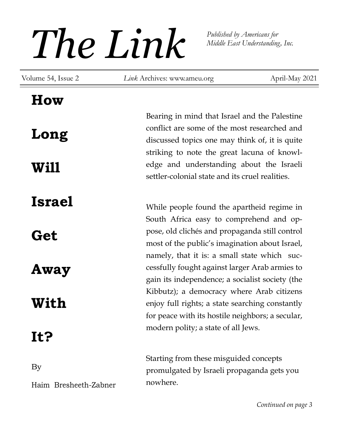# *The Link Published by Americans for*<br>*Middle East Understanding*

*Middle East Understanding, Inc.* 

Volume 54, Issue 2 *Link* Archives: www.ameu.org

April-May 2021

## **How**

**Long Will** 

**Israel** 

**Get** 

**Away** 

# **With**

# **It?**

By

Haim Bresheeth-Zabner

Bearing in mind that Israel and the Palestine conflict are some of the most researched and discussed topics one may think of, it is quite striking to note the great lacuna of knowledge and understanding about the Israeli settler-colonial state and its cruel realities.

While people found the apartheid regime in South Africa easy to comprehend and oppose, old clichés and propaganda still control most of the public's imagination about Israel, namely, that it is: a small state which successfully fought against larger Arab armies to gain its independence; a socialist society (the Kibbutz); a democracy where Arab citizens enjoy full rights; a state searching constantly for peace with its hostile neighbors; a secular, modern polity; a state of all Jews.

Starting from these misguided concepts promulgated by Israeli propaganda gets you nowhere.

*Continued on page 3*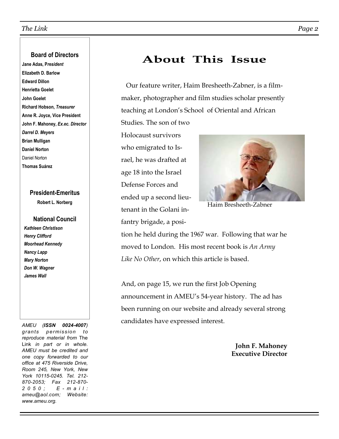## **Board of Directors**

**Jane Adas, P***resident* **Elizabeth D. Barlow Edward Dillon Henrietta Goelet John Goelet Richard Hobson,** *Treasurer* **Anne R. Joyce, Vice President John F. Mahoney,** *Ex.ec. Director Darrel D. Meyers* **Brian Mulligan Daniel Norton**  Daniel Norton **Thomas Suárez** 

## **President-Emeritus**

**Robert L. Norberg** 

## **National Council**

*Kathleen Christison Henry Clifford Moorhead Kennedy Nancy Lapp Mary Norton Don W. Wagner James Wall* 

*AMEU (ISSN 0024-4007) grants permission to reproduce material from* The Link *in part or in whole. AMEU must be credited and one copy forwarded to our office at 475 Riverside Drive, Room 245, New York, New York 10115-0245. Tel. 212- 870-2053; Fax 212-870- 2 0 5 0 ; E - m a i l : ameu@aol.com; Website: www.ameu.org.* 

## **About This Issue**

 Our feature writer, Haim Bresheeth-Zabner, is a filmmaker, photographer and film studies scholar presently teaching at London's School of Oriental and African

Holocaust survivors who emigrated to Israel, he was drafted at age 18 into the Israel Defense Forces and ended up a second lieutenant in the Golani infantry brigade, a posi-

Studies. The son of two



Haim Bresheeth-Zabner

tion he held during the 1967 war. Following that war he moved to London. His most recent book is *An Army Like No Other*, on which this article is based.

And, on page 15, we run the first Job Opening announcement in AMEU's 54-year history. The ad has been running on our website and already several strong candidates have expressed interest.

> **John F. Mahoney Executive Director**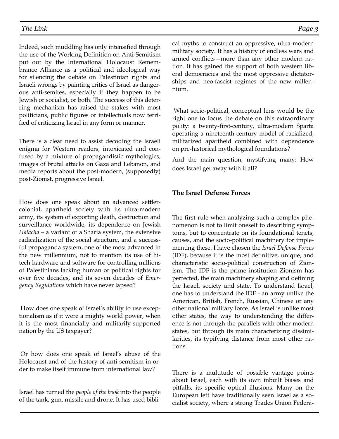Indeed, such muddling has only intensified through the use of the Working Definition on Anti-Semitism put out by the International Holocaust Remembrance Alliance as a political and ideological way for silencing the debate on Palestinian rights and Israeli wrongs by painting critics of Israel as dangerous anti-semites, especially if they happen to be Jewish or socialist, or both. The success of this deterring mechanism has raised the stakes with most politicians, public figures or intellectuals now terrified of criticizing Israel in any form or manner.

There is a clear need to assist decoding the Israeli enigma for Western readers, intoxicated and confused by a mixture of propagandistic mythologies, images of brutal attacks on Gaza and Lebanon, and media reports about the post-modern, (supposedly) post-Zionist, progressive Israel.

How does one speak about an advanced settlercolonial, apartheid society with its ultra-modern army, its system of exporting death, destruction and surveillance worldwide, its dependence on Jewish *Halacha* – a variant of a Sharia system, the extensive radicalization of the social structure, and a successful propaganda system, one of the most advanced in the new millennium, not to mention its use of hitech hardware and software for controlling millions of Palestinians lacking human or political rights for over five decades, and its seven decades of *Emergency Regulations* which have never lapsed?

 How does one speak of Israel's ability to use exceptionalism as if it were a mighty world power, when it is the most financially and militarily-supported nation by the US taxpayer?

 Or how does one speak of Israel's abuse of the Holocaust and of the history of anti-semitism in order to make itself immune from international law?

Israel has turned the *people of the book* into the people of the tank, gun, missile and drone. It has used bibli-

cal myths to construct an oppressive, ultra-modern military society. It has a history of endless wars and armed conflicts—more than any other modern nation. It has gained the support of both western liberal democracies and the most oppressive dictatorships and neo-fascist regimes of the new millennium.

 What socio-political, conceptual lens would be the right one to focus the debate on this extraordinary polity: a twenty-first-century, ultra-modern Sparta operating a nineteenth-century model of racialized, militarized apartheid combined with dependence on pre-historical mythological foundations?

And the main question, mystifying many: How does Israel get away with it all?

#### **The Israel Defense Forces**

The first rule when analyzing such a complex phenomenon is not to limit oneself to describing symptoms, but to concentrate on its foundational tenets, causes, and the socio-political machinery for implementing these. I have chosen the *Israel Defense Forces*  (IDF), because it is the most definitive, unique, and characteristic socio-political construction of Zionism. The IDF is the prime institution Zionism has perfected, the main machinery shaping and defining the Israeli society and state. To understand Israel, one has to understand the IDF - an army unlike the American, British, French, Russian, Chinese or any other national military force. As Israel is unlike most other states, the way to understanding the difference is not through the parallels with other modern states, but through its main characterizing dissimilarities, its typifying distance from most other nations.

There is a multitude of possible vantage points about Israel, each with its own inbuilt biases and pitfalls, its specific optical illusions. Many on the European left have traditionally seen Israel as a socialist society, where a strong Trades Union Federa-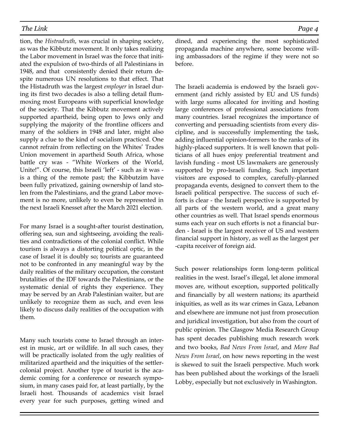tion, the *Histradruth*, was crucial in shaping society, as was the Kibbutz movement. It only takes realizing the Labor movement in Israel was the force that initiated the expulsion of two-thirds of all Palestinians in 1948, and that consistently denied their return despite numerous UN resolutions to that effect. That the Histadruth was the largest *employer* in Israel during its first two decades is also a telling detail flummoxing most Europeans with superficial knowledge of the society. That the Kibbutz movement actively supported apartheid, being open to Jews only and supplying the majority of the frontline officers and many of the soldiers in 1948 and later, might also supply a clue to the kind of socialism practiced. One cannot refrain from reflecting on the Whites' Trades Union movement in apartheid South Africa, whose battle cry was - "White Workers of the World, Unite!". Of course, this Israeli 'left' - such as it was is a thing of the remote past; the Kibbutzim have been fully privatized, gaining ownership of land stolen from the Palestinians, and the grand Labor movement is no more, unlikely to even be represented in the next Israeli Knesset after the March 2021 election.

For many Israel is a sought-after tourist destination, offering sea, sun and sightseeing, avoiding the realities and contradictions of the colonial conflict. While tourism is always a distorting political optic, in the case of Israel it is doubly so; tourists are guaranteed not to be confronted in any meaningful way by the daily realities of the military occupation, the constant brutalities of the IDF towards the Palestinians, or the systematic denial of rights they experience. They may be served by an Arab Palestinian waiter, but are unlikely to recognize them as such, and even less likely to discuss daily realities of the occupation with them.

Many such tourists come to Israel through an interest in music, art or wildlife. In all such cases, they will be practically isolated from the ugly realities of militarized apartheid and the iniquities of the settlercolonial project. Another type of tourist is the academic coming for a conference or research symposium, in many cases paid for, at least partially, by the Israeli host. Thousands of academics visit Israel every year for such purposes, getting wined and dined, and experiencing the most sophisticated propaganda machine anywhere, some become willing ambassadors of the regime if they were not so before.

The Israeli academia is endowed by the Israeli government (and richly assisted by EU and US funds) with large sums allocated for inviting and hosting large conferences of professional associations from many countries. Israel recognizes the importance of converting and persuading scientists from every discipline, and is successfully implementing the task, adding influential opinion-formers to the ranks of its highly-placed supporters. It is well known that politicians of all hues enjoy preferential treatment and lavish funding - most US lawmakers are generously supported by pro-Israeli funding. Such important visitors are exposed to complex, carefully-planned propaganda events, designed to convert them to the Israeli political perspective. The success of such efforts is clear - the Israeli perspective is supported by all parts of the western world, and a great many other countries as well. That Israel spends enormous sums each year on such efforts is not a financial burden - Israel is the largest receiver of US and western financial support in history, as well as the largest per -capita receiver of foreign aid.

Such power relationships form long-term political realities in the west. Israel's illegal, let alone immoral moves are, without exception, supported politically and financially by all western nations; its apartheid iniquities, as well as its war crimes in Gaza, Lebanon and elsewhere are immune not just from prosecution and juridical investigation, but also from the court of public opinion. The Glasgow Media Research Group has spent decades publishing much research work and two books, *Bad News From Israel*, and *More Bad News From Israel*, on how news reporting in the west is skewed to suit the Israeli perspective. Much work has been published about the workings of the Israeli Lobby, especially but not exclusively in Washington.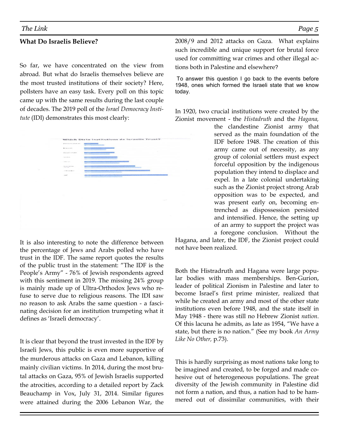#### **What Do Israelis Believe?**

So far, we have concentrated on the view from abroad. But what do Israelis themselves believe are the most trusted institutions of their society? Here, pollsters have an easy task. Every poll on this topic came up with the same results during the last couple of decades. The 2019 poll of the *Israel Democracy Institute* (IDI) demonstrates this most clearly:

|   | Districtional concerning | Which State Institutions do Israelis Trust?<br><b>PARTING CONST</b> |        |  |
|---|--------------------------|---------------------------------------------------------------------|--------|--|
|   |                          |                                                                     |        |  |
|   | <b>Kyrigans</b> and      | <b>Contract Contract</b>                                            |        |  |
|   | GUARANTEE                | <b>CONSIDERATION</b>                                                | $\sim$ |  |
|   | commentar.               | <b>COMPANY</b>                                                      |        |  |
|   | Continue.                | <b>CONTRACTOR</b>                                                   |        |  |
|   | Seattlessen              |                                                                     |        |  |
| × | Proposition in the       | <b>CONTRACTOR</b>                                                   |        |  |
|   | <b>LOT</b>               |                                                                     |        |  |
|   |                          | ٠                                                                   |        |  |
|   |                          |                                                                     |        |  |
|   |                          |                                                                     |        |  |
|   |                          |                                                                     |        |  |
|   |                          |                                                                     |        |  |
|   | ×.                       |                                                                     |        |  |
|   |                          |                                                                     | $\sim$ |  |
|   |                          |                                                                     |        |  |
|   |                          |                                                                     |        |  |
|   |                          |                                                                     |        |  |
|   |                          |                                                                     |        |  |
|   |                          |                                                                     |        |  |
|   |                          |                                                                     |        |  |
|   |                          |                                                                     |        |  |
|   |                          |                                                                     |        |  |

It is also interesting to note the difference between the percentage of Jews and Arabs polled who have trust in the IDF. The same report quotes the results of the public trust in the statement: "The IDF is the People's Army" - 76% of Jewish respondents agreed with this sentiment in 2019. The missing 24% group is mainly made up of Ultra-Orthodox Jews who refuse to serve due to religious reasons. The IDI saw no reason to ask Arabs the same question - a fascinating decision for an institution trumpeting what it defines as 'Israeli democracy'.

It is clear that beyond the trust invested in the IDF by Israeli Jews, this public is even more supportive of the murderous attacks on Gaza and Lebanon, killing mainly civilian victims. In 2014, during the most brutal attacks on Gaza, 95% of Jewish Israelis supported the atrocities, according to a detailed report by Zack Beauchamp in Vox, July 31, 2014. Similar figures were attained during the 2006 Lebanon War, the 2008/9 and 2012 attacks on Gaza. What explains such incredible and unique support for brutal force used for committing war crimes and other illegal actions both in Palestine and elsewhere?

 To answer this question I go back to the events before 1948, ones which formed the Israeli state that we know today.

In 1920, two crucial institutions were created by the Zionist movement - the *Histadruth* and the *Hagana,*

the clandestine Zionist army that served as the main foundation of the IDF before 1948. The creation of this army came out of necessity, as any group of colonial settlers must expect forceful opposition by the indigenous population they intend to displace and expel. In a late colonial undertaking such as the Zionist project strong Arab opposition was to be expected, and was present early on, becoming entrenched as dispossession persisted and intensified. Hence, the setting up of an army to support the project was a foregone conclusion. Without the

Hagana, and later, the IDF, the Zionist project could not have been realized.

Both the Histradruth and Hagana were large popular bodies with mass memberships. Ben-Gurion, leader of political Zionism in Palestine and later to become Israel's first prime minister, realized that while he created an army and most of the other state institutions even before 1948, and the state itself in May 1948 - there was still no Hebrew Zionist *nation*. Of this lacuna he admits, as late as 1954, "We have a state, but there is no nation." (See my book *An Army Like No Other,* p.73).

This is hardly surprising as most nations take long to be imagined and created, to be forged and made cohesive out of heterogeneous populations. The great diversity of the Jewish community in Palestine did not form a nation, and thus, a nation had to be hammered out of dissimilar communities, with their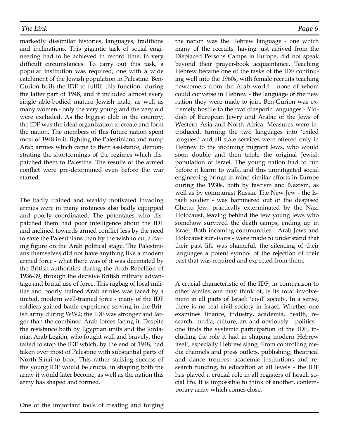markedly dissimilar histories, languages, traditions and inclinations. This gigantic task of social engineering had to be achieved in record time, in very difficult circumstances. To carry out this task, a popular institution was required, one with a wide catchment of the Jewish population in Palestine. Ben-Gurion built the IDF to fulfill this function during the latter part of 1948, and it included almost every single able-bodied mature Jewish male, as well as many women - only the very young and the very old were excluded. As the biggest club in the country, the IDF was the ideal organization to create and form the nation. The members of this future nation spent most of 1948 in it, fighting the Palestinians and rump Arab armies which came to their assistance, demonstrating the shortcomings of the regimes which dispatched them to Palestine. The results of the armed conflict were pre-determined even before the war started.

The badly trained and weakly motivated invading armies were in many instances also badly equipped and poorly coordinated. The potentates who dispatched them had poor intelligence about the IDF and inclined towards armed conflict less by the need to save the Palestinians than by the wish to cut a daring figure on the Arab political stage. The Palestinians themselves did not have anything like a modern armed force - what there was of it was decimated by the British authorities during the Arab Rebellion of 1936-39, through the decisive British military advantage and brutal use of force. This ragbag of local militias and poorly trained Arab armies was faced by a united, modern well-trained force - many of the IDF soldiers gained battle experience serving in the British army during WW2; the IDF was stronger and larger than the combined Arab forces facing it. Despite the resistance both by Egyptian units and the Jordanian Arab Legion, who fought well and bravely, they failed to stop the IDF which, by the end of 1948, had taken over most of Palestine with substantial parts of North Sinai to boot. This rather striking success of the young IDF would be crucial in shaping both the army it would later become, as well as the nation this army has shaped and formed.

the nation was the Hebrew language - one which many of the recruits, having just arrived from the Displaced Persons Camps in Europe, did not speak beyond their prayer-book acquaintance. Teaching Hebrew became one of the tasks of the IDF continuing well into the 1960s, with female recruits teaching newcomers from the Arab world - none of whom could converse in Hebrew - the language of the new nation they were made to join. Ben-Gurion was extremely hostile to the two diasporic languages - Yiddish of European Jewry and Arabic of the Jews of Western Asia and North Africa. Measures were introduced, turning the two languages into 'exiled tongues,' and all state services were offered only in Hebrew to the incoming migrant Jews, who would soon double and then triple the original Jewish population of Israel. The young nation had to run before it learnt to walk, and this unmitigated social engineering brings to mind similar efforts in Europe during the 1930s, both by fascism and Nazism, as well as by communist Russia. The New Jew - the Israeli soldier - was hammered out of the despised Ghetto Jew, practically exterminated by the Nazi Holocaust, leaving behind the few young Jews who somehow survived the death camps, ending up in Israel. Both incoming communities - Arab Jews and Holocaust survivors - were made to understand that their past life was shameful, the silencing of their languages a potent symbol of the rejection of their past that was required and expected from them.

A crucial characteristic of the IDF, in comparison to other armies one may think of, is its total involvement in all parts of Israeli 'civil' society. In a sense, there is no real civil society in Israel. Whether one examines finance, industry, academia, health, research, media, culture, art and obviously - politics one finds the systemic participation of the IDF, including the role it had in shaping modern Hebrew itself, especially Hebrew slang. From controlling media channels and press outlets, publishing, theatrical and dance troupes, academic institutions and research funding, to education at all levels - the IDF has played a crucial role in all registers of Israeli social life. It is impossible to think of another, contemporary army which comes close.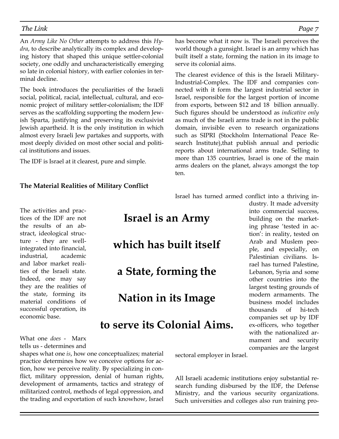An *Army Like No Other* attempts to address this *Hydra*, to describe analytically its complex and developing history that shaped this unique settler-colonial society, one oddly and uncharacteristically emerging so late in colonial history, with earlier colonies in terminal decline.

The book introduces the peculiarities of the Israeli social, political, racial, intellectual, cultural, and economic project of military settler-colonialism; the IDF serves as the scaffolding supporting the modern Jewish Sparta, justifying and preserving its exclusivist Jewish apartheid. It is the only institution in which almost every Israeli Jew partakes and supports, with most deeply divided on most other social and political institutions and issues.

The IDF is Israel at it clearest, pure and simple.

#### **The Material Realities of Military Conflict**

has become what it now is. The Israeli perceives the world though a gunsight. Israel is an army which has built itself a state, forming the nation in its image to serve its colonial aims.

The clearest evidence of this is the Israeli Military-Industrial-Complex. The IDF and companies connected with it form the largest industrial sector in Israel, responsible for the largest portion of income from exports, between \$12 and 18 billion annually. Such figures should be understood as *indicative only* as much of the Israeli arms trade is not in the public domain, invisible even to research organizations such as SIPRI (Stockholm International Peace Research Institute),that publish annual and periodic reports about international arms trade. Selling to more than 135 countries, Israel is one of the main arms dealers on the planet, always amongst the top ten.

Israel has turned armed conflict into a thriving in-

The activities and practices of the IDF are not the results of an abstract, ideological structure - they are wellintegrated into financial, industrial, academic and labor market realities of the Israeli state. Indeed, one may say they are the realities of the state, forming its material conditions of successful operation, its economic base.

**Israel is an Army** 

## **which has built itself**

**a State, forming the** 

**Nation in its Image** 

## **to serve its Colonial Aims.**

dustry. It made adversity into commercial success, building on the marketing phrase 'tested in action': in reality, tested on Arab and Muslem people, and especially, on Palestinian civilians. Israel has turned Palestine, Lebanon, Syria and some other countries into the largest testing grounds of modern armaments. The business model includes thousands of hi-tech companies set up by IDF ex-officers, who together with the nationalized armament and security companies are the largest

What one *does* - Marx tells us - determines and

shapes what one *is*, how one conceptualizes; material practice determines how we conceive options for action, how we perceive reality. By specializing in conflict, military oppression, denial of human rights, development of armaments, tactics and strategy of militarized control, methods of legal oppression, and the trading and exportation of such knowhow, Israel

sectoral employer in Israel.

All Israeli academic institutions enjoy substantial research funding disbursed by the IDF, the Defense Ministry, and the various security organizations. Such universities and colleges also run training pro-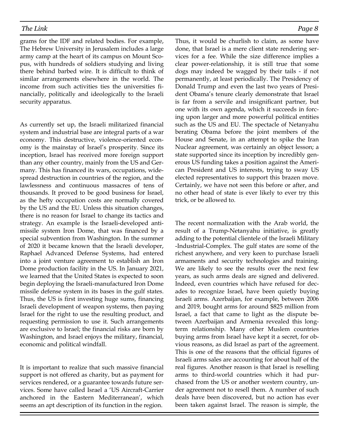grams for the IDF and related bodies. For example, The Hebrew University in Jerusalem includes a large army camp at the heart of its campus on Mount Scopus, with hundreds of soldiers studying and living there behind barbed wire. It is difficult to think of similar arrangements elsewhere in the world. The income from such activities ties the universities financially, politically and ideologically to the Israeli security apparatus.

As currently set up, the Israeli militarized financial system and industrial base are integral parts of a war economy. This destructive, violence-oriented economy is the mainstay of Israel's prosperity. Since its inception, Israel has received more foreign support than any other country, mainly from the US and Germany. This has financed its wars, occupations, widespread destruction in countries of the region, and the lawlessness and continuous massacres of tens of thousands. It proved to be good business for Israel, as the hefty occupation costs are normally covered by the US and the EU. Unless this situation changes, there is no reason for Israel to change its tactics and strategy. An example is the Israeli-developed antimissile system Iron Dome, that was financed by a special subvention from Washington. In the summer of 2020 it became known that the Israeli developer, Raphael Advanced Defense Systems, had entered into a joint venture agreement to establish an Iron Dome production facility in the US. In January 2021, we learned that the United States is expected to soon begin deploying the Israeli-manufactured Iron Dome missile defense system in its bases in the gulf states. Thus, the US is first investing huge sums, financing Israeli development of weapon systems, then paying Israel for the right to use the resulting product, and requesting permission to use it. Such arrangements are exclusive to Israel; the financial risks are born by Washington, and Israel enjoys the military, financial, economic and political windfall.

It is important to realize that such massive financial support is not offered as charity, but as payment for services rendered, or a guarantee towards future services. Some have called Israel a 'US Aircraft-Carrier anchored in the Eastern Mediterranean', which seems an apt description of its function in the region.

Thus, it would be churlish to claim, as some have done, that Israel is a mere client state rendering services for a fee. While the size difference implies a clear power-relationship, it is still true that some dogs may indeed be wagged by their tails - if not permanently, at least periodically. The Presidency of Donald Trump and even the last two years of President Obama's tenure clearly demonstrate that Israel is far from a servile and insignificant partner, but one with its own agenda, which it succeeds in forcing upon larger and more powerful political entities such as the US and EU. The spectacle of Netanyahu berating Obama before the joint members of the House and Senate, in an attempt to spike the Iran Nuclear agreement, was certainly an object lesson; a state supported since its inception by incredibly generous US funding takes a position against the American President and US interests, trying to sway US elected representatives to support this brazen move. Certainly, we have not seen this before or after, and no other head of state is ever likely to ever try this trick, or be allowed to.

The recent normalization with the Arab world, the result of a Trump-Netanyahu initiative, is greatly adding to the potential clientele of the Israeli Military -Industrial-Complex. The gulf states are some of the richest anywhere, and very keen to purchase Israeli armaments and security technologies and training. We are likely to see the results over the next few years, as such arms deals are signed and delivered. Indeed, even countries which have refused for decades to recognize Israel, have been quietly buying Israeli arms. Azerbaijan, for example, between 2006 and 2019, bought arms for around \$825 million from Israel, a fact that came to light as the dispute between Azerbaijan and Armenia revealed this longterm relationship. Many other Muslem countries buying arms from Israel have kept it a secret, for obvious reasons, as did Israel as part of the agreement. This is one of the reasons that the official figures of Israeli arms sales are accounting for about half of the real figures. Another reason is that Israel is reselling arms to third-world countries which it had purchased from the US or another western country, under agreement not to resell them. A number of such deals have been discovered, but no action has ever been taken against Israel. The reason is simple, the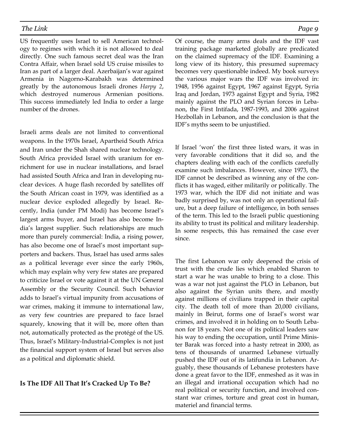US frequently uses Israel to sell American technology to regimes with which it is not allowed to deal directly. One such famous secret deal was the Iran Contra Affair, when Israel sold US cruise missiles to Iran as part of a larger deal. Azerbaijan's war against Armenia in Nagorno-Karabakh was determined greatly by the autonomous Israeli drones *Harpy 2*, which destroyed numerous Armenian positions. This success immediately led India to order a large number of the drones.

Israeli arms deals are not limited to conventional weapons. In the 1970s Israel, Apartheid South Africa and Iran under the Shah shared nuclear technology. South Africa provided Israel with uranium for enrichment for use in nuclear installations, and Israel had assisted South Africa and Iran in developing nuclear devices. A huge flash recorded by satellites off the South African coast in 1979, was identified as a nuclear device exploded allegedly by Israel. Recently, India (under PM Modi) has become Israel's largest arms buyer, and Israel has also become India's largest supplier. Such relationships are much more than purely commercial: India, a rising power, has also become one of Israel's most important supporters and backers. Thus, Israel has used arms sales as a political leverage ever since the early 1960s, which may explain why very few states are prepared to criticize Israel or vote against it at the UN General Assembly or the Security Council. Such behavior adds to Israel's virtual impunity from accusations of war crimes, making it immune to international law, as very few countries are prepared to face Israel squarely, knowing that it will be, more often than not, automatically protected as the protégé of the US. Thus, Israel's Military-Industrial-Complex is not just the financial support system of Israel but serves also as a political and diplomatic shield.

#### **Is The IDF All That It's Cracked Up To Be?**

Of course, the many arms deals and the IDF vast training package marketed globally are predicated on the claimed supremacy of the IDF. Examining a long view of its history, this presumed supremacy becomes very questionable indeed. My book surveys the various major wars the IDF was involved in: 1948, 1956 against Egypt, 1967 against Egypt, Syria Iraq and Jordan, 1973 against Egypt and Syria, 1982 mainly against the PLO and Syrian forces in Lebanon, the First Intifada, 1987-1993, and 2006 against Hezbollah in Lebanon, and the conclusion is that the IDF's myths seem to be unjustified.

If Israel 'won' the first three listed wars, it was in very favorable conditions that it did so, and the chapters dealing with each of the conflicts carefully examine such imbalances. However, since 1973, the IDF cannot be described as winning any of the conflicts it has waged, either militarily or politically. The 1973 war, which the IDF did not initiate and was badly surprised by, was not only an operational failure, but a deep failure of intelligence, in both senses of the term. This led to the Israeli public questioning its ability to trust its political and military leadership. In some respects, this has remained the case ever since.

The first Lebanon war only deepened the crisis of trust with the crude lies which enabled Sharon to start a war he was unable to bring to a close. This was a war not just against the PLO in Lebanon, but also against the Syrian units there, and mostly against millions of civilians trapped in their capital city. The death toll of more than 20,000 civilians, mainly in Beirut, forms one of Israel's worst war crimes, and involved it in holding on to South Lebanon for 18 years. Not one of its political leaders saw his way to ending the occupation, until Prime Minister Barak was forced into a hasty retreat in 2000, as tens of thousands of unarmed Lebanese virtually pushed the IDF out of its latifundia in Lebanon. Arguably, these thousands of Lebanese protesters have done a great favor to the IDF, enmeshed as it was in an illegal and irrational occupation which had no real political or security function, and involved constant war crimes, torture and great cost in human, materiel and financial terms.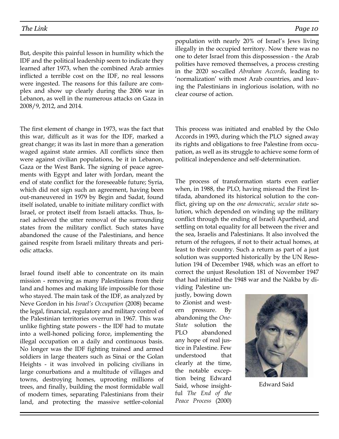But, despite this painful lesson in humility which the IDF and the political leadership seem to indicate they learned after 1973, when the combined Arab armies inflicted a terrible cost on the IDF, no real lessons were ingested. The reasons for this failure are complex and show up clearly during the 2006 war in Lebanon, as well in the numerous attacks on Gaza in 2008/9, 2012, and 2014.

The first element of change in 1973, was the fact that this war, difficult as it was for the IDF, marked a great change; it was its last in more than a generation waged against state armies. All conflicts since then were against civilian populations, be it in Lebanon, Gaza or the West Bank. The signing of peace agreements with Egypt and later with Jordan, meant the end of state conflict for the foreseeable future; Syria, which did not sign such an agreement, having been out-maneuvered in 1979 by Begin and Sadat, found itself isolated, unable to initiate military conflict with Israel, or protect itself from Israeli attacks. Thus, Israel achieved the utter removal of the surrounding states from the military conflict. Such states have abandoned the cause of the Palestinians, and hence gained respite from Israeli military threats and periodic attacks.

Israel found itself able to concentrate on its main mission - removing as many Palestinians from their land and homes and making life impossible for those who stayed. The main task of the IDF, as analyzed by Neve Gordon in his *Israel's Occupation* (2008) became the legal, financial, regulatory and military control of the Palestinian territories overrun in 1967. This was unlike fighting state powers - the IDF had to mutate into a well-honed policing force, implementing the illegal occupation on a daily and continuous basis. No longer was the IDF fighting trained and armed soldiers in large theaters such as Sinai or the Golan Heights - it was involved in policing civilians in large conurbations and a multitude of villages and towns, destroying homes, uprooting millions of trees, and finally, building the most formidable wall of modern times, separating Palestinians from their land, and protecting the massive settler-colonial population with nearly 20% of Israel's Jews living illegally in the occupied territory. Now there was no one to deter Israel from this dispossession - the Arab polities have removed themselves, a process cresting in the 2020 so-called *Abraham Accords*, leading to 'normalization' with most Arab countries, and leaving the Palestinians in inglorious isolation, with no clear course of action.

This process was initiated and enabled by the Oslo Accords in 1993, during which the PLO signed away its rights and obligations to free Palestine from occupation, as well as its struggle to achieve some form of political independence and self-determination.

The process of transformation starts even earlier when, in 1988, the PLO, having misread the First Intifada, abandoned its historical solution to the conflict, giving up on the *one democratic, secular state* solution, which depended on winding up the military conflict through the ending of Israeli Apartheid, and settling on total equality for all between the river and the sea, Israelis and Palestinians. It also involved the return of the refugees, if not to their actual homes, at least to their country. Such a return as part of a just solution was supported historically by the UN Resolution 194 of December 1948, which was an effort to correct the unjust Resolution 181 of November 1947 that had initiated the 1948 war and the Nakba by di-

viding Palestine unjustly, bowing down to Zionist and western pressure. By abandoning the *One-State* solution the PLO abandoned any hope of real justice in Palestine. Few understood that clearly at the time, the notable exception being Edward Said, whose insightful *The End of the Peace Process* (2000)



Edward Said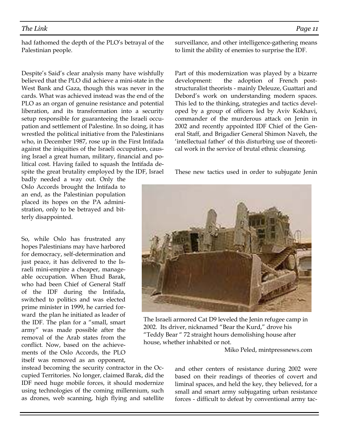had fathomed the depth of the PLO's betrayal of the Palestinian people.

Despite's Said's clear analysis many have wishfully believed that the PLO did achieve a mini-state in the West Bank and Gaza, though this was never in the cards. What was achieved instead was the end of the PLO as an organ of genuine resistance and potential liberation, and its transformation into a security setup responsible for guaranteeing the Israeli occupation and settlement of Palestine. In so doing, it has wrestled the political initiative from the Palestinians who, in December 1987, rose up in the First Intifada against the iniquities of the Israeli occupation, causing Israel a great human, military, financial and political cost. Having failed to squash the Intifada despite the great brutality employed by the IDF, Israel

badly needed a way out. Only the Oslo Accords brought the Intifada to an end, as the Palestinian population placed its hopes on the PA administration, only to be betrayed and bitterly disappointed.

So, while Oslo has frustrated any hopes Palestinians may have harbored for democracy, self-determination and just peace, it has delivered to the Israeli mini-empire a cheaper, manageable occupation. When Ehud Barak, who had been Chief of General Staff of the IDF during the Intifada, switched to politics and was elected prime minister in 1999, he carried forward the plan he initiated as leader of the IDF. The plan for a "small, smart army" was made possible after the removal of the Arab states from the conflict. Now, based on the achievements of the Oslo Accords, the PLO itself was removed as an opponent,

instead becoming the security contractor in the Occupied Territories. No longer, claimed Barak, did the IDF need huge mobile forces, it should modernize using technologies of the coming millennium, such as drones, web scanning, high flying and satellite surveillance, and other intelligence-gathering means to limit the ability of enemies to surprise the IDF.

Part of this modernization was played by a bizarre development: the adoption of French poststructuralist theorists - mainly Deleuze, Guattari and Debord's work on understanding modern spaces. This led to the thinking, strategies and tactics developed by a group of officers led by Aviv Kokhavi, commander of the murderous attack on Jenin in 2002 and recently appointed IDF Chief of the General Staff, and Brigadier General Shimon Naveh, the 'intellectual father' of this disturbing use of theoretical work in the service of brutal ethnic cleansing.

These new tactics used in order to subjugate Jenin



2002. Its driver, nicknamed "Bear the Kurd," drove his "Teddy Bear " 72 straight hours demolishing house after house, whether inhabited or not.

Miko Peled, mintpressnews.com

and other centers of resistance during 2002 were based on their readings of theories of covert and liminal spaces, and held the key, they believed, for a small and smart army subjugating urban resistance forces - difficult to defeat by conventional army tac-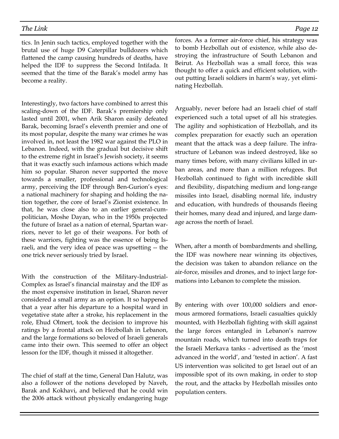tics. In Jenin such tactics, employed together with the brutal use of huge D9 Caterpillar bulldozers which flattened the camp causing hundreds of deaths, have helped the IDF to suppress the Second Intifada. It seemed that the time of the Barak's model army has become a reality.

Interestingly, two factors have combined to arrest this scaling-down of the IDF. Barak's premiership only lasted until 2001, when Arik Sharon easily defeated Barak, becoming Israel's eleventh premier and one of its most popular, despite the many war crimes he was involved in, not least the 1982 war against the PLO in Lebanon. Indeed, with the gradual but decisive shift to the extreme right in Israel's Jewish society, it seems that it was exactly such infamous actions which made him so popular. Sharon never supported the move towards a smaller, professional and technological army, perceiving the IDF through Ben-Gurion's eyes: a national machinery for shaping and holding the nation together, the core of Israel's Zionist existence. In that, he was close also to an earlier general-cumpolitician, Moshe Dayan, who in the 1950s projected the future of Israel as a nation of eternal, Spartan warriors, never to let go of their weapons. For both of these warriors, fighting was the essence of being Israeli, and the very idea of peace was upsetting -- the one trick never seriously tried by Israel.

With the construction of the Military-Industrial-Complex as Israel's financial mainstay and the IDF as the most expensive institution in Israel, Sharon never considered a small army as an option. It so happened that a year after his departure to a hospital ward in vegetative state after a stroke, his replacement in the role, Ehud Olmert, took the decision to improve his ratings by a frontal attack on Hezbollah in Lebanon, and the large formations so beloved of Israeli generals came into their own. This seemed to offer an object lesson for the IDF, though it missed it altogether.

The chief of staff at the time, General Dan Halutz, was also a follower of the notions developed by Naveh, Barak and Kokhavi, and believed that he could win the 2006 attack without physically endangering huge forces. As a former air-force chief, his strategy was to bomb Hezbollah out of existence, while also destroying the infrastructure of South Lebanon and Beirut. As Hezbollah was a small force, this was thought to offer a quick and efficient solution, without putting Israeli soldiers in harm's way, yet eliminating Hezbollah.

Arguably, never before had an Israeli chief of staff experienced such a total upset of all his strategies. The agility and sophistication of Hezbollah, and its complex preparation for exactly such an operation meant that the attack was a deep failure. The infrastructure of Lebanon was indeed destroyed, like so many times before, with many civilians killed in urban areas, and more than a million refugees. But Hezbollah continued to fight with incredible skill and flexibility, dispatching medium and long-range missiles into Israel, disabling normal life, industry and education, with hundreds of thousands fleeing their homes, many dead and injured, and large damage across the north of Israel.

When, after a month of bombardments and shelling, the IDF was nowhere near winning its objectives, the decision was taken to abandon reliance on the air-force, missiles and drones, and to inject large formations into Lebanon to complete the mission.

By entering with over 100,000 soldiers and enormous armored formations, Israeli casualties quickly mounted, with Hezbollah fighting with skill against the large forces entangled in Lebanon's narrow mountain roads, which turned into death traps for the Israeli Merkava tanks - advertised as the 'most advanced in the world', and 'tested in action'. A fast US intervention was solicited to get Israel out of an impossible spot of its own making, in order to stop the rout, and the attacks by Hezbollah missiles onto population centers.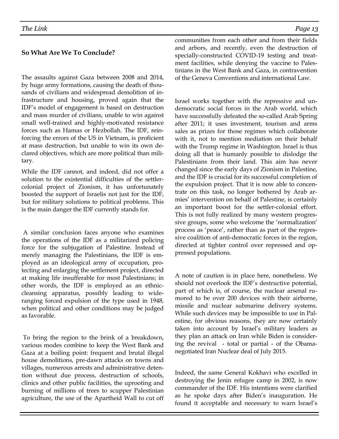## **So What Are We To Conclude?**

The assaults against Gaza between 2008 and 2014, by huge army formations, causing the death of thousands of civilians and widespread demolition of infrastructure and housing, proved again that the IDF's model of engagement is based on destruction and mass murder of civilians, unable to win against small well-trained and highly-motivated resistance forces such as Hamas or Hezbollah. The IDF, reinforcing the errors of the US in Vietnam, is proficient at mass destruction, but unable to win its own declared objectives, which are more political than military.

While the IDF cannot, and indeed, did not offer a solution to the existential difficulties of the settlercolonial project of Zionism, it has unfortunately boosted the support of Israelis not just for the IDF, but for military solutions to political problems. This is the main danger the IDF currently stands for.

 A similar conclusion faces anyone who examines the operations of the IDF as a militarized policing force for the subjugation of Palestine. Instead of merely managing the Palestinians, the IDF is employed as an ideological army of occupation, protecting and enlarging the settlement project, directed at making life insufferable for most Palestinians; in other words, the IDF is employed as an ethniccleansing apparatus, possibly leading to wideranging forced expulsion of the type used in 1948, when political and other conditions may be judged as favorable.

 To bring the region to the brink of a breakdown, various modes combine to keep the West Bank and Gaza at a boiling point: frequent and brutal illegal house demolitions, pre-dawn attacks on towns and villages, numerous arrests and administrative detention without due process, destruction of schools, clinics and other public facilities, the uprooting and burning of millions of trees to scupper Palestinian agriculture, the use of the Apartheid Wall to cut off communities from each other and from their fields and arbors, and recently, even the destruction of specially-constructed COVID-19 testing and treatment facilities, while denying the vaccine to Palestinians in the West Bank and Gaza, in contravention of the Geneva Conventions and international Law.

Israel works together with the repressive and undemocratic social forces in the Arab world, which have successfully defeated the so-called Arab Spring after 2011; it uses investment, tourism and arms sales as prizes for those regimes which collaborate with it, not to mention mediation on their behalf with the Trump regime in Washington. Israel is thus doing all that is humanly possible to dislodge the Palestinians from their land. This aim has never changed since the early days of Zionism in Palestine, and the IDF is crucial for its successful completion of the expulsion project. That it is now able to concentrate on this task, no longer bothered by Arab armies' intervention on behalf of Palestine, is certainly an important boost for the settler-colonial effort. This is not fully realized by many western progressive groups, some who welcome the 'normalization' process as 'peace', rather than as part of the regressive coalition of anti-democratic forces in the region, directed at tighter control over repressed and oppressed populations.

A note of caution is in place here, nonetheless. We should not overlook the IDF's destructive potential, part of which is, of course, the nuclear arsenal rumored to be over 200 devices with their airborne, missile and nuclear submarine delivery systems. While such devices may be impossible to use in Palestine, for obvious reasons, they are now certainly taken into account by Israel's military leaders as they plan an attack on Iran while Biden is considering the revival - total or partial - of the Obamanegotiated Iran Nuclear deal of July 2015.

Indeed, the same General Kokhavi who excelled in destroying the Jenin refugee camp in 2002, is now commander of the IDF. His intentions were clarified as he spoke days after Biden's inauguration. He found it acceptable and necessary to warn Israel's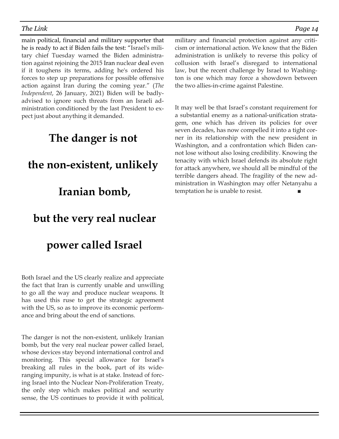main political, financial and military supporter that he is ready to act if Biden fails the test: "Israel's military chief Tuesday warned the Biden administration against rejoining the 2015 Iran nuclear deal even if it toughens its terms, adding he's ordered his forces to step up preparations for possible offensive action against Iran during the coming year." (*The Independent*, 26 January, 2021) Biden will be badlyadvised to ignore such threats from an Israeli administration conditioned by the last President to expect just about anything it demanded.

## **The danger is not**

## **the non-existent, unlikely**

## **Iranian bomb,**

## **but the very real nuclear**

## **power called Israel**

Both Israel and the US clearly realize and appreciate the fact that Iran is currently unable and unwilling to go all the way and produce nuclear weapons. It has used this ruse to get the strategic agreement with the US, so as to improve its economic performance and bring about the end of sanctions.

The danger is not the non-existent, unlikely Iranian bomb, but the very real nuclear power called Israel, whose devices stay beyond international control and monitoring. This special allowance for Israel's breaking all rules in the book, part of its wideranging impunity, is what is at stake. Instead of forcing Israel into the Nuclear Non-Proliferation Treaty, the only step which makes political and security sense, the US continues to provide it with political,

military and financial protection against any criticism or international action. We know that the Biden administration is unlikely to reverse this policy of collusion with Israel's disregard to international law, but the recent challenge by Israel to Washington is one which may force a showdown between the two allies-in-crime against Palestine.

It may well be that Israel's constant requirement for a substantial enemy as a national-unification stratagem, one which has driven its policies for over seven decades, has now compelled it into a tight corner in its relationship with the new president in Washington, and a confrontation which Biden cannot lose without also losing credibility. Knowing the tenacity with which Israel defends its absolute right for attack anywhere, we should all be mindful of the terrible dangers ahead. The fragility of the new administration in Washington may offer Netanyahu a temptation he is unable to resist.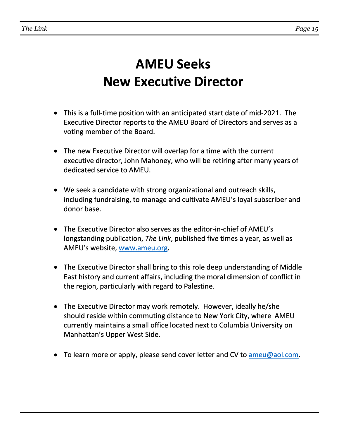# **AMEU Seeks New Executive Director**

- This is a full-time position with an anticipated start date of mid-2021. The Executive Director reports to the AMEU Board of Directors and serves as a voting member of the Board.
- The new Executive Director will overlap for a time with the current executive director, John Mahoney, who will be retiring after many years of dedicated service to AMEU.
- We seek a candidate with strong organizational and outreach skills, including fundraising, to manage and cultivate AMEU's loyal subscriber and donor base.
- The Executive Director also serves as the editor-in-chief of AMEU's longstanding publication, *The Link*, published five times a year, as well as AMEU's website, www.ameu.org.
- The Executive Director shall bring to this role deep understanding of Middle East history and current affairs, including the moral dimension of conflict in the region, particularly with regard to Palestine.
- The Executive Director may work remotely. However, ideally he/she should reside within commuting distance to New York City, where AMEU currently maintains a small office located next to Columbia University on Manhattan's Upper West Side.
- To learn more or apply, please send cover letter and CV to ameu@aol.com.